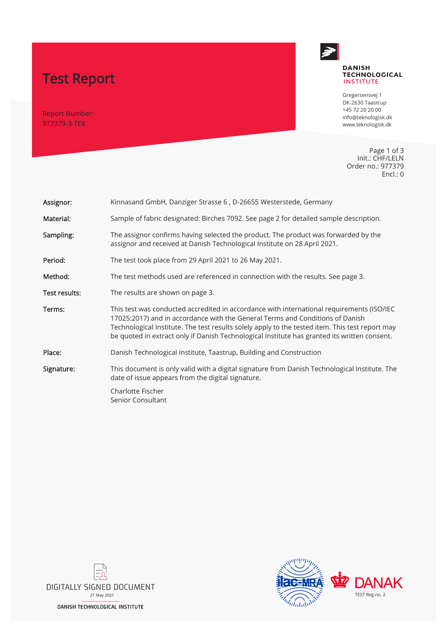# Test Report

Report Number: 977379-3-TEX



#### **DANISH TECHNOLOGICAL INSTITUTE**

Gregersensvej 1 DK-2630 Taastrup +45 72 20 20 00 info@teknologisk.dk www.teknologisk.dk

Page 1 of 3 Init.: CHF/LELN Order no.: 977379 Encl.: 0

| Assignor:     | Kinnasand GmbH, Danziger Strasse 6, D-26655 Westerstede, Germany                                                                                                                                                                                                                                                                                                              |  |
|---------------|-------------------------------------------------------------------------------------------------------------------------------------------------------------------------------------------------------------------------------------------------------------------------------------------------------------------------------------------------------------------------------|--|
| Material:     | Sample of fabric designated: Birches 7092. See page 2 for detailed sample description.                                                                                                                                                                                                                                                                                        |  |
| Sampling:     | The assignor confirms having selected the product. The product was forwarded by the<br>assignor and received at Danish Technological Institute on 28 April 2021.                                                                                                                                                                                                              |  |
| Period:       | The test took place from 29 April 2021 to 26 May 2021.                                                                                                                                                                                                                                                                                                                        |  |
| Method:       | The test methods used are referenced in connection with the results. See page 3.                                                                                                                                                                                                                                                                                              |  |
| Test results: | The results are shown on page 3.                                                                                                                                                                                                                                                                                                                                              |  |
| Terms:        | This test was conducted accredited in accordance with international requirements (ISO/IEC<br>17025:2017) and in accordance with the General Terms and Conditions of Danish<br>Technological Institute. The test results solely apply to the tested item. This test report may<br>be quoted in extract only if Danish Technological Institute has granted its written consent. |  |
| Place:        | Danish Technological Institute, Taastrup, Building and Construction                                                                                                                                                                                                                                                                                                           |  |
| Signature:    | This document is only valid with a digital signature from Danish Technological Institute. The<br>date of issue appears from the digital signature.                                                                                                                                                                                                                            |  |
|               | Charlotte Fischer<br>Senior Consultant                                                                                                                                                                                                                                                                                                                                        |  |



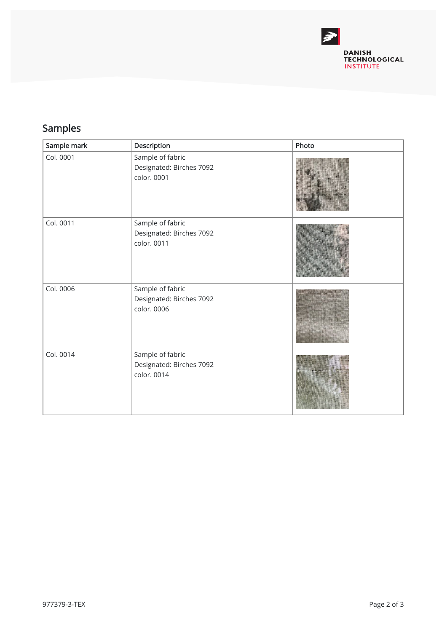

## Samples

| Sample mark | Description                                                 | Photo |
|-------------|-------------------------------------------------------------|-------|
| Col. 0001   | Sample of fabric<br>Designated: Birches 7092<br>color. 0001 |       |
| Col. 0011   | Sample of fabric<br>Designated: Birches 7092<br>color. 0011 |       |
| Col. 0006   | Sample of fabric<br>Designated: Birches 7092<br>color. 0006 |       |
| Col. 0014   | Sample of fabric<br>Designated: Birches 7092<br>color. 0014 |       |